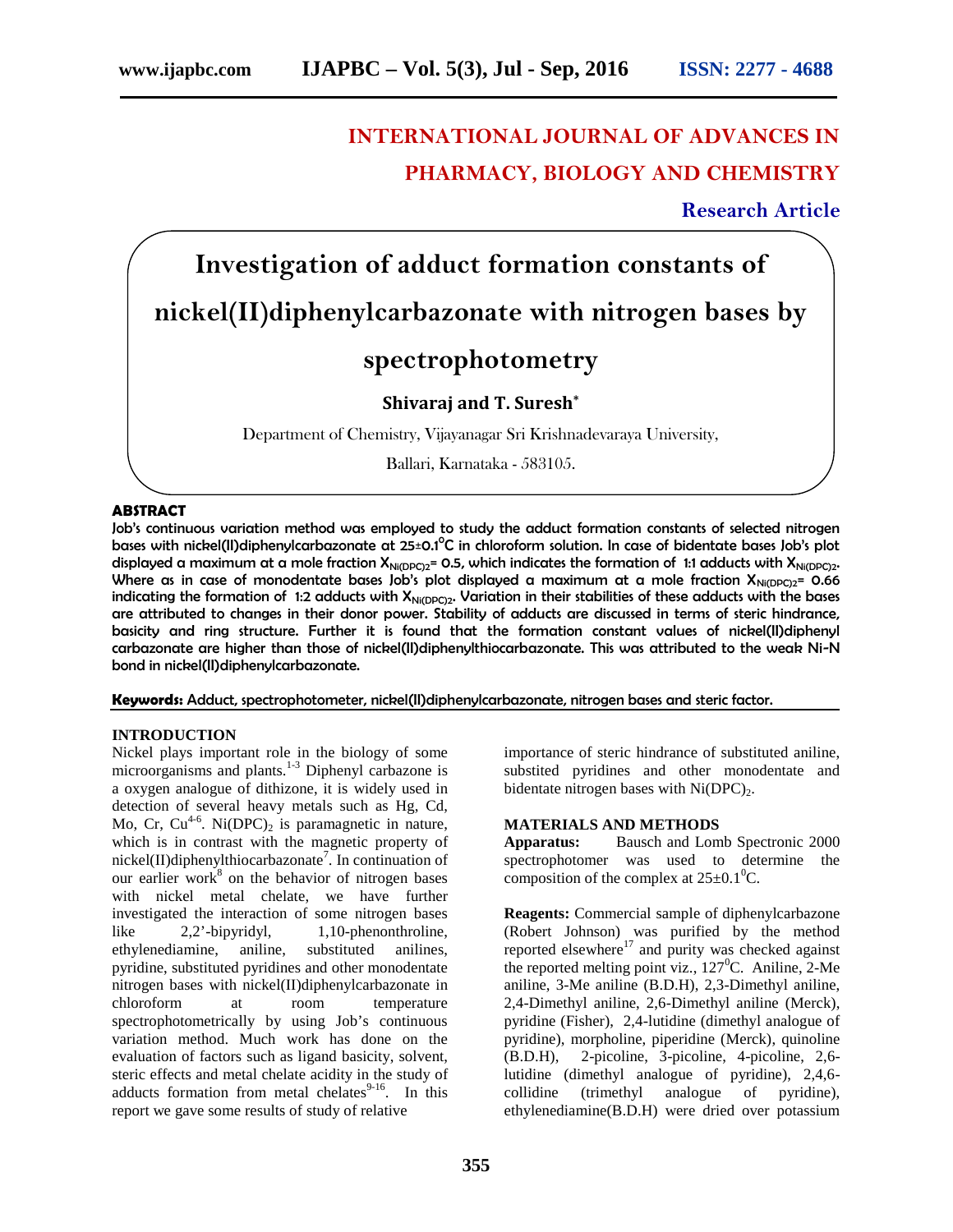## **INTERNATIONAL JOURNAL OF ADVANCES IN PHARMACY, BIOLOGY AND CHEMISTRY**

**Research Article**

# **Investigation of adduct formation constants of nickel(II)diphenylcarbazonate with nitrogen bases by**

## **spectrophotometry**

### **Shivaraj and T. Suresh\***

Department of Chemistry, Vijayanagar Sri Krishnadevaraya University,

Ballari, Karnataka - 583105.

#### **ABSTRACT**

Job's continuous variation method was employed to study the adduct formation constants of selected nitrogen bases with nickel(II)diphenylcarbazonate at 25±0.1<sup>0</sup>C in chloroform solution. In case of bidentate bases Job's plot displayed a maximum at a mole fraction  $X_{Ni(DPC)2}$ = 0.5, which indicates the formation of 1:1 adducts with  $X_{Ni(DPC)2}$ . Where as in case of monodentate bases Job's plot displayed a maximum at a mole fraction  $X_{Ni(DPC)2}$ = 0.66 indicating the formation of 1:2 adducts with  $X_{Ni(DPC)2}$ . Variation in their stabilities of these adducts with the bases are attributed to changes in their donor power. Stability of adducts are discussed in terms of steric hindrance, basicity and ring structure. Further it is found that the formation constant values of nickel(II)diphenyl carbazonate are higher than those of nickel(II)diphenylthiocarbazonate. This was attributed to the weak Ni-N bond in nickel(II)diphenylcarbazonate.

**Keywords:** Adduct, spectrophotometer, nickel(II)diphenylcarbazonate, nitrogen bases and steric factor.

#### **INTRODUCTION**

Nickel plays important role in the biology of some microorganisms and plants.<sup>1-3</sup> Diphenyl carbazone is a oxygen analogue of dithizone, it is widely used in detection of several heavy metals such as Hg, Cd, Mo, Cr,  $Cu^{4-6}$ . Ni(DPC)<sub>2</sub> is paramagnetic in nature, which is in contrast with the magnetic property of nickel(II)diphenylthiocarbazonate<sup>7</sup>. In continuation of our earlier work $8$  on the behavior of nitrogen bases with nickel metal chelate, we have further investigated the interaction of some nitrogen bases like 2,2'-bipyridyl, 1,10-phenonthroline, ethylenediamine, aniline, substituted anilines, pyridine, substituted pyridines and other monodentate nitrogen bases with nickel(II)diphenylcarbazonate in chloroform at room temperature spectrophotometrically by using Job's continuous variation method. Much work has done on the evaluation of factors such as ligand basicity, solvent, steric effects and metal chelate acidity in the study of adducts formation from metal chelates $9-16$ . In this report we gave some results of study of relative

importance of steric hindrance of substituted aniline, substited pyridines and other monodentate and bidentate nitrogen bases with  $Ni(DPC)_{2}$ .

#### **MATERIALS AND METHODS**

**Apparatus:** Bausch and Lomb Spectronic 2000 spectrophotomer was used to determine the composition of the complex at  $25\pm0.1^{\circ}$ C.

**Reagents:** Commercial sample of diphenylcarbazone (Robert Johnson) was purified by the method reported elsewhere $17$  and purity was checked against the reported melting point viz.,  $127^{\circ}$ C. Aniline, 2-Me aniline, 3-Me aniline (B.D.H), 2,3-Dimethyl aniline, 2,4-Dimethyl aniline, 2,6-Dimethyl aniline (Merck), pyridine (Fisher), 2,4-lutidine (dimethyl analogue of pyridine), morpholine, piperidine (Merck), quinoline (B.D.H), 2-picoline, 3-picoline, 4-picoline, 2,6 lutidine (dimethyl analogue of pyridine), 2,4,6 collidine (trimethyl analogue of pyridine), ethylenediamine(B.D.H) were dried over potassium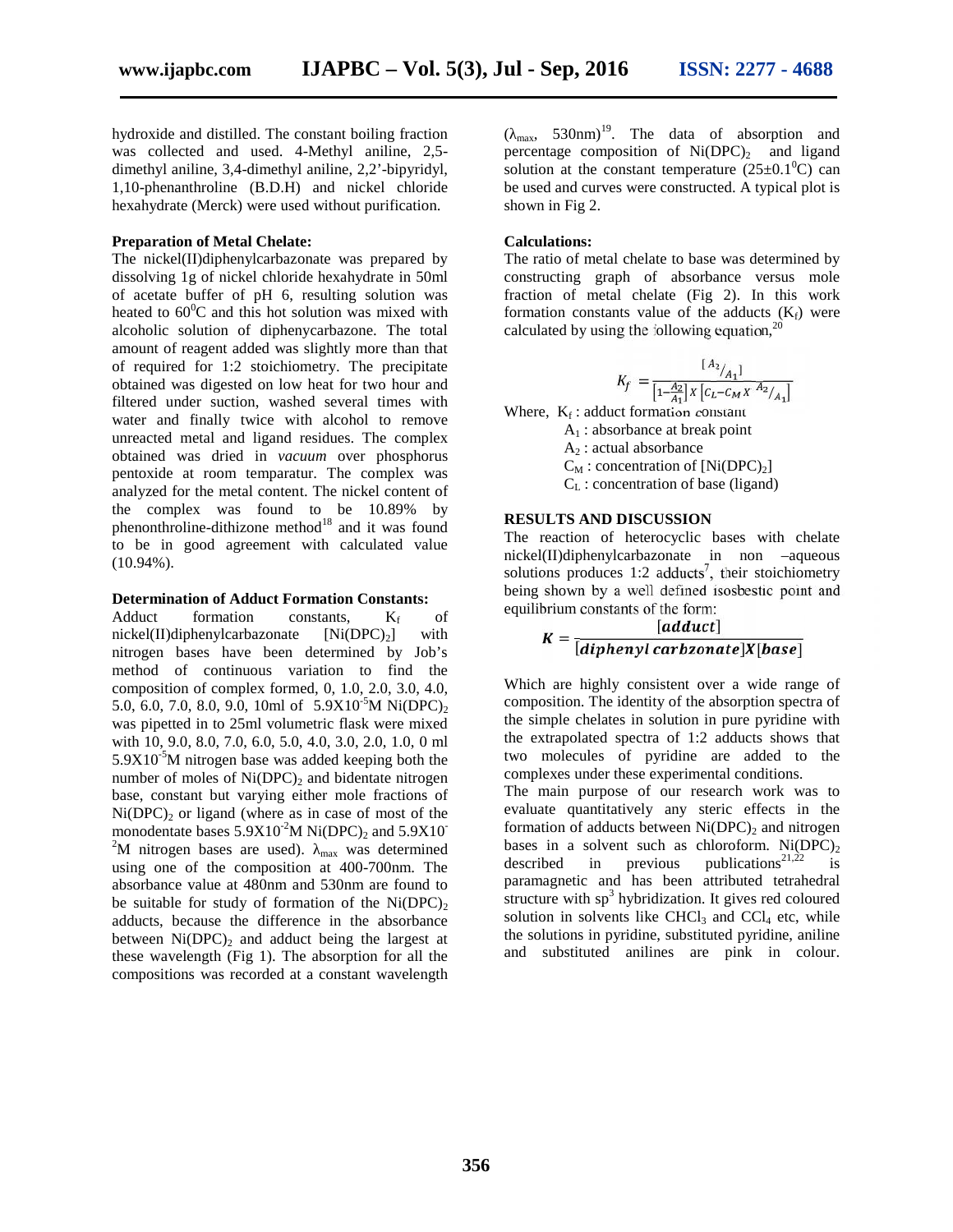hydroxide and distilled. The constant boiling fraction was collected and used. 4-Methyl aniline, 2,5 dimethyl aniline, 3,4-dimethyl aniline, 2,2'-bipyridyl, 1,10-phenanthroline (B.D.H) and nickel chloride hexahydrate (Merck) were used without purification.

#### **Preparation of Metal Chelate:**

The nickel(II)diphenylcarbazonate was prepared by dissolving 1g of nickel chloride hexahydrate in 50ml of acetate buffer of pH 6, resulting solution was heated to  $60^{\circ}$ C and this hot solution was mixed with alcoholic solution of diphenycarbazone. The total amount of reagent added was slightly more than that of required for 1:2 stoichiometry. The precipitate obtained was digested on low heat for two hour and filtered under suction, washed several times with water and finally twice with alcohol to remove unreacted metal and ligand residues. The complex obtained was dried in *vacuum* over phosphorus pentoxide at room temparatur. The complex was analyzed for the metal content. The nickel content of the complex was found to be 10.89% by phenonthroline-dithizone method<sup>18</sup> and it was found to be in good agreement with calculated value (10.94%).

#### **Determination of Adduct Formation Constants:**

Adduct formation constants,  $K_f$  of nickel(II)diphenylcarbazonate  $[Ni(DPC)_2]$  with nitrogen bases have been determined by Job's method of continuous variation to find the composition of complex formed, 0, 1.0, 2.0, 3.0, 4.0, 5.0, 6.0, 7.0, 8.0, 9.0, 10ml of  $5.9X10^{-5}$ M Ni(DPC)<sub>2</sub> was pipetted in to 25ml volumetric flask were mixed with 10, 9.0, 8.0, 7.0, 6.0, 5.0, 4.0, 3.0, 2.0, 1.0, 0 ml  $5.9X10^{-5}$ M nitrogen base was added keeping both the number of moles of  $Ni(DPC)_2$  and bidentate nitrogen base, constant but varying either mole fractions of  $Ni(DPC)_2$  or ligand (where as in case of most of the monodentate bases  $5.9X10^2M Ni(DPC)_2$  and  $5.9X10^2$ <sup>2</sup>M nitrogen bases are used).  $_{\text{max}}$  was determined bases in using one of the composition at 400.700pm. The described using one of the composition at 400-700nm. The absorbance value at 480nm and 530nm are found to be suitable for study of formation of the  $Ni(DPC)_{2}$ adducts, because the difference in the absorbance between  $Ni(DPC)_{2}$  and adduct being the largest at these wavelength (Fig 1). The absorption for all the compositions was recorded at a constant wavelength

 $(\text{max}, 530 \text{nm})^{19}$ . The data of absorption and percentage composition of  $Ni(DPC)_{2}$  and ligand solution at the constant temperature  $(25\pm0.1^0C)$  can be used and curves were constructed. A typical plot is shown in Fig 2.

#### **Calculations:**

The ratio of metal chelate to base was determined by constructing graph of absorbance versus mole fraction of metal chelate (Fig 2). In this work formation constants value of the adducts  $(K_f)$  were calculated by using the following equation,  $20$ 

$$
K_f = \frac{[A_2]_{{\cal A}_1}]}{[1\textcolor{red}{\bar{A}_2}]\,x\,[c_L\textcolor{red}{-}c_M\,x\,\textcolor{red}{\bar{A}_2}]} \label{eq:Kf}
$$

Where,  $K_f$ : adduct formation constant

 $A_1$ : absorbance at break point

 $A_2$ : actual absorbance

 $C_M$ : concentration of  $[Ni(DPC)<sub>2</sub>]$ 

 $C_{L}$ : concentration of base (ligand)

#### **RESULTS AND DISCUSSION**

The reaction of heterocyclic bases with chelate nickel(II)diphenylcarbazonate in non –aqueous solutions produces 1:2 adducts<sup>7</sup>, their stoichiometry being shown by a well defined isosbestic point and equilibrium constants of the form:

$$
K = \frac{[adduct]}{[diphenyl \, carbzonate]X[base]}
$$

Which are highly consistent over a wide range of composition. The identity of the absorption spectra of the simple chelates in solution in pure pyridine with the extrapolated spectra of 1:2 adducts shows that two molecules of pyridine are added to the complexes under these experimental conditions.

The main purpose of our research work was to evaluate quantitatively any steric effects in the formation of adducts between  $Ni(DPC)_2$  and nitrogen bases in a solvent such as chloroform. Ni(DPC)<sub>2</sub> described in previous publications<sup>21,22</sup> is publications<sup>21,22</sup> is paramagnetic and has been attributed tetrahedral structure with  $sp<sup>3</sup>$  hybridization. It gives red coloured solution in solvents like  $CHCl<sub>3</sub>$  and  $CCl<sub>4</sub>$  etc, while the solutions in pyridine, substituted pyridine, aniline and substituted anilines are pink in colour.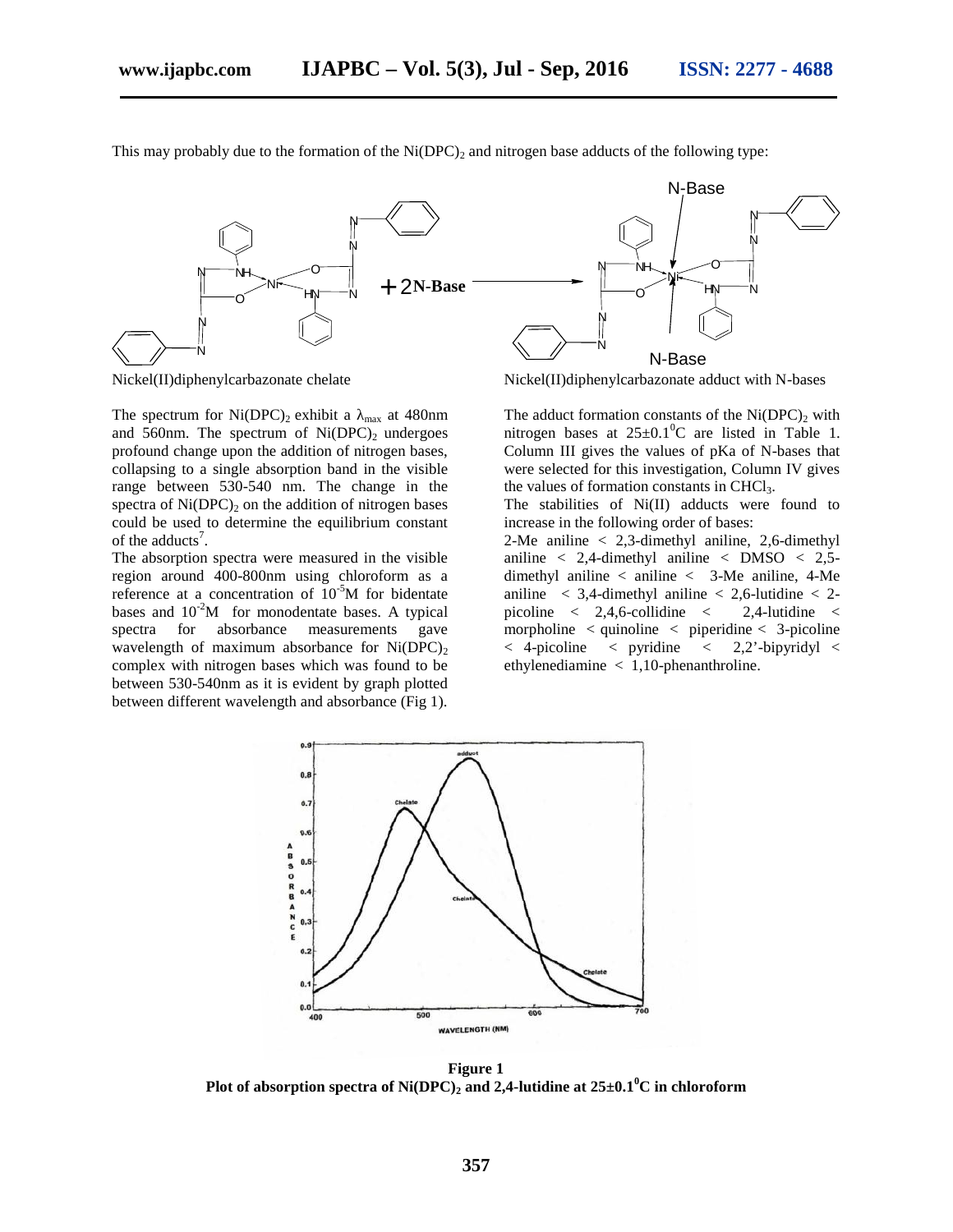$\circ$   $\qquad$   $\qquad$   $\qquad$   $\qquad$   $\qquad$   $\qquad$   $\qquad$   $\qquad$   $\qquad$   $\qquad$   $\qquad$   $\qquad$   $\qquad$   $\qquad$   $\qquad$   $\qquad$   $\qquad$   $\qquad$   $\qquad$   $\qquad$   $\qquad$   $\qquad$   $\qquad$   $\qquad$   $\qquad$   $\qquad$   $\qquad$   $\qquad$   $\qquad$   $\qquad$   $\qquad$   $\qquad$   $\qquad$   $\qquad$   $\qquad$   $\qquad$ 

N  $N \longrightarrow \langle$ 

 $+2N-Base$ N N  $N$   $\sim$ O U  $N$ i $\sim$  $\circ$   $\qquad$   $\qquad$   $\qquad$   $\qquad$   $\qquad$   $\qquad$   $\qquad$   $\qquad$   $\qquad$   $\qquad$   $\qquad$   $\qquad$   $\qquad$   $\qquad$   $\qquad$   $\qquad$   $\qquad$   $\qquad$   $\qquad$   $\qquad$   $\qquad$   $\qquad$   $\qquad$   $\qquad$   $\qquad$   $\qquad$   $\qquad$   $\qquad$   $\qquad$   $\qquad$   $\qquad$   $\qquad$   $\qquad$   $\qquad$   $\qquad$   $\qquad$  N  $N \longrightarrow$ N N  $N$   $N$   $\sim$   $C$ O | U Ni  $H_N \longrightarrow N$ N-Base

This may probably due to the formation of the  $Ni(DPC)$ , and nitrogen base adducts of the following type:

The spectrum for  $Ni(DPC)_2$  exhibit a  $_{max}$  at 480nm and 560nm. The spectrum of  $Ni(DPC)_2$  undergoes profound change upon the addition of nitrogen bases, collapsing to a single absorption band in the visible range between 530-540 nm. The change in the spectra of  $Ni(DPC)_{2}$  on the addition of nitrogen bases could be used to determine the equilibrium constant of the adducts<sup>7</sup>.

The absorption spectra were measured in the visible region around 400-800nm using chloroform as a reference at a concentration of  $10^{-5}M$  for bidentate bases and  $10^{-2}M$  for monodentate bases. A typical spectra for absorbance measurements gave wavelength of maximum absorbance for  $Ni(DPC)_{2}$ complex with nitrogen bases which was found to be between 530-540nm as it is evident by graph plotted between different wavelength and absorbance (Fig 1).



Nickel(II)diphenylcarbazonate chelate Nickel(II)diphenylcarbazonate adduct with N-bases

The adduct formation constants of the  $Ni(DPC)$ , with nitrogen bases at  $25\pm0.1^{\circ}$ C are listed in Table 1. Column III gives the values of pKa of N-bases that were selected for this investigation, Column IV gives the values of formation constants in CHCl<sub>3</sub>.

The stabilities of Ni(II) adducts were found to increase in the following order of bases:

2-Me aniline < 2,3-dimethyl aniline, 2,6-dimethyl aniline  $\langle 2,4$ -dimethyl aniline  $\langle$  DMSO  $\langle 2,5-\rangle$ dimethyl aniline < aniline < 3-Me aniline, 4-Me aniline  $\langle 3,4$ -dimethyl aniline  $\langle 2,6$ -lutidine  $\langle 2,6 \rangle$ picoline  $\langle 2, 4, 6$ -collidine  $\langle 2, 4, 4 \rangle$ -lutidine  $\langle 2, 4 \rangle$ morpholine  $\lt$  quinoline  $\lt$  piperidine  $\lt$  3-picoline  $<$  4-picoline  $<$  pyridine  $<$  2,2'-bipyridyl  $<$ ethylenediamine < 1,10-phenanthroline.



**Figure 1 Plot of absorption spectra of Ni(DPC)<sup>2</sup> and 2,4-lutidine at 25±0.1<sup>0</sup>C in chloroform**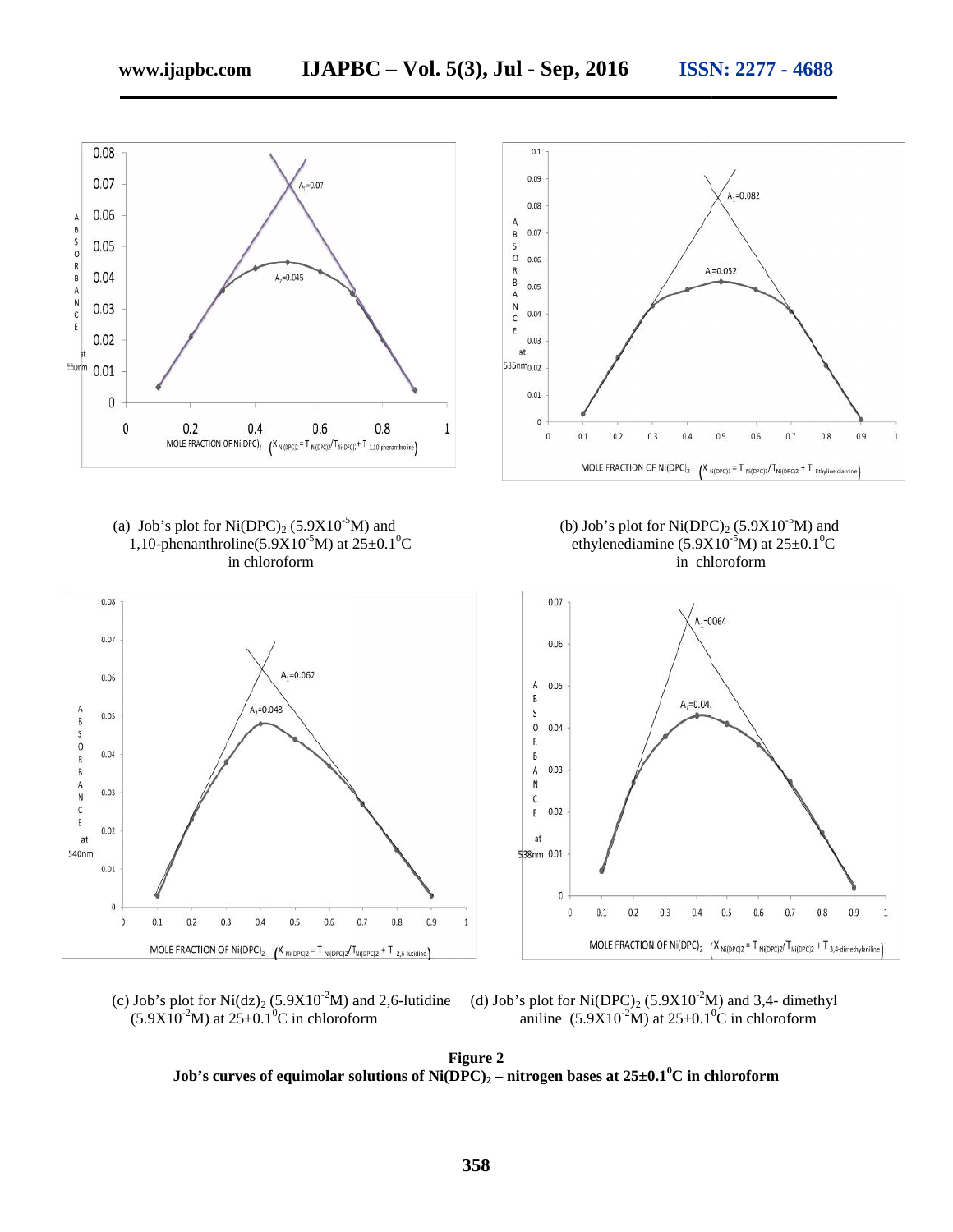

(c) Job's plot for Ni(dz)<sub>2</sub> (5.9X10<sup>-2</sup>M) and 2,6-lutidine (d) Job's plot for Ni(DPC)<sub>2</sub> (5.9X10<sup>-2</sup>M) and 3,4- dimethyl  $(5.9X10^{2}M)$  at  $25\pm0.1^{0}C$  in chloroform aniline  $(5.9X10^{2}M)$  at  $25\pm0.1^{0}C$  in chloroform

**Figure 2 Job's curves of equimolar solutions of Ni(DPC)<sup>2</sup> – nitrogen bases at 25±0.1<sup>0</sup>C in chloroform**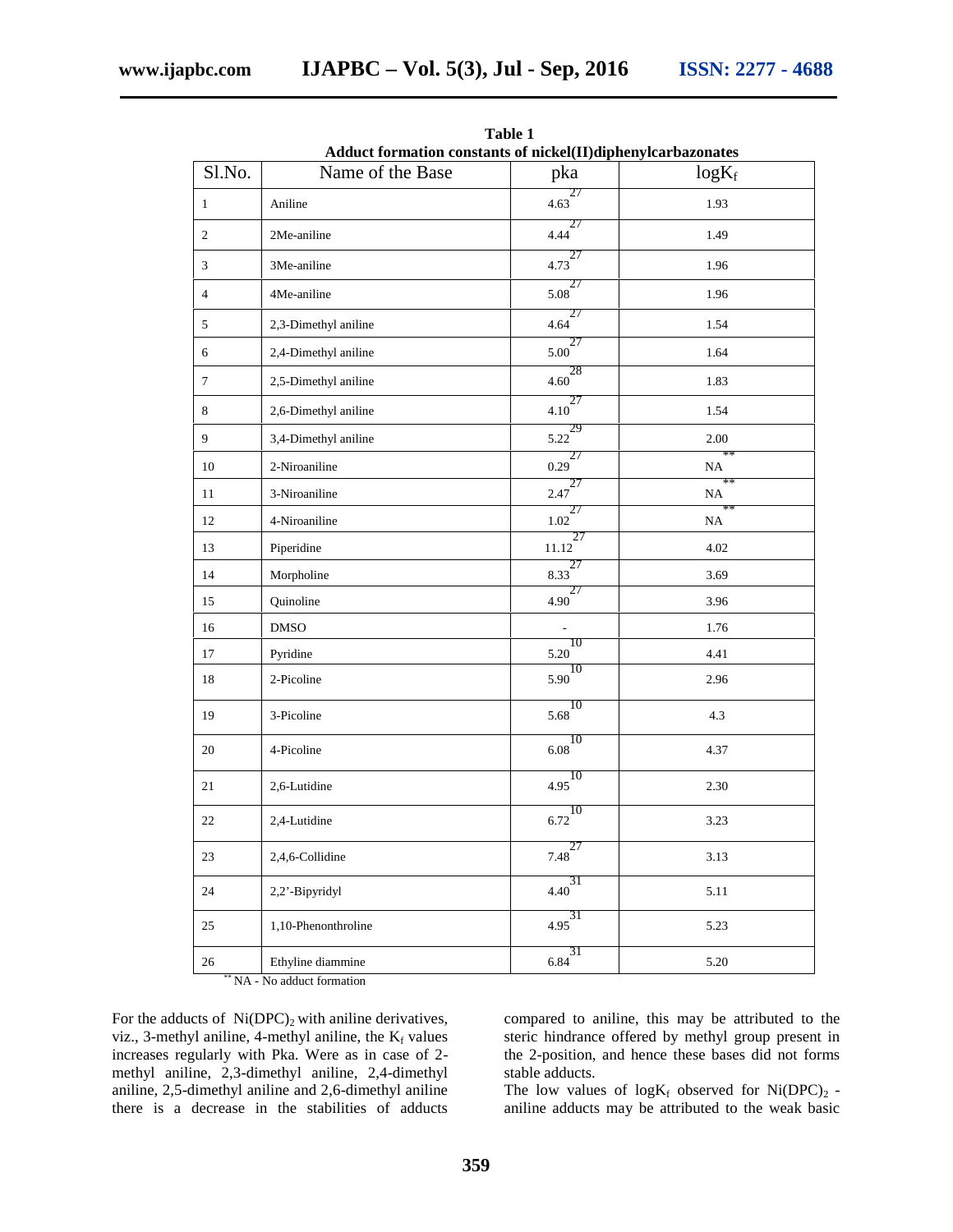| Adduct formation constants of nickel(II)diphenylcarbazonates |                      |                                   |            |
|--------------------------------------------------------------|----------------------|-----------------------------------|------------|
| Sl.No.                                                       | Name of the Base     | pka                               | $log K_f$  |
| $\mathbf{1}$                                                 | Aniline              | $4.63$ <sup>27</sup>              | 1.93       |
| $\overline{c}$                                               | 2Me-aniline          | 27<br>4.44                        | 1.49       |
| 3                                                            | 3Me-aniline          | 27<br>4.73                        | 1.96       |
| $\overline{4}$                                               | 4Me-aniline          | $5.08^{27}$                       | 1.96       |
| 5                                                            | 2,3-Dimethyl aniline | 27<br>4.64                        | 1.54       |
| 6                                                            | 2,4-Dimethyl aniline | $\frac{27}{5.00}$                 | 1.64       |
| $\boldsymbol{7}$                                             | 2,5-Dimethyl aniline | $\frac{1}{4.60}$<br>=             | 1.83       |
| $\,8\,$                                                      | 2,6-Dimethyl aniline | 27<br>4.10                        | 1.54       |
| 9                                                            | 3,4-Dimethyl aniline | 29<br>5.22                        | 2.00       |
| 10                                                           | 2-Niroaniline        | 27<br>0.29                        | $**$<br>NA |
| 11                                                           | 3-Niroaniline        | $2.47^{27}$                       | $**$<br>NA |
| 12                                                           | 4-Niroaniline        | 27<br>1.02                        | **<br>NA   |
| 13                                                           | Piperidine           | 27<br>11.12                       | 4.02       |
| 14                                                           | Morpholine           | 27<br>8.33                        | 3.69       |
| 15                                                           | Quinoline            | 27<br>4.90                        | 3.96       |
| 16                                                           | <b>DMSO</b>          |                                   | 1.76       |
| 17                                                           | Pyridine             | 10<br>5.20                        | 4.41       |
| 18                                                           | 2-Picoline           | 10<br>5.90                        | 2.96       |
| 19                                                           | 3-Picoline           | 10<br>5.68                        | 4.3        |
| 20                                                           | 4-Picoline           | $\overline{6.08}^{\overline{10}}$ | 4.37       |
| 21                                                           | 2,6-Lutidine         | 10<br>4.95                        | 2.30       |
| 22                                                           | 2,4-Lutidine         | 10<br>6.72                        | 3.23       |
| 23                                                           | 2,4,6-Collidine      | $7.48^{27}$                       | 3.13       |
| 24                                                           | 2,2'-Bipyridyl       | 31<br>4.40                        | 5.11       |
| 25                                                           | 1,10-Phenonthroline  | $4.95^{31}$                       | 5.23       |
| 26                                                           | Ethyline diammine    | $rac{31}{6.84}$                   | 5.20       |

**Table 1**

\*\* NA - No adduct formation

For the adducts of  $Ni(DPC)_2$  with aniline derivatives, viz., 3-methyl aniline, 4-methyl aniline, the  $K_f$  values increases regularly with Pka. Were as in case of 2 methyl aniline, 2,3-dimethyl aniline, 2,4-dimethyl aniline, 2,5-dimethyl aniline and 2,6-dimethyl aniline there is a decrease in the stabilities of adducts

compared to aniline, this may be attributed to the steric hindrance offered by methyl group present in the 2-position, and hence these bases did not forms stable adducts.

The low values of  $log K_f$  observed for Ni(DPC)<sub>2</sub> aniline adducts may be attributed to the weak basic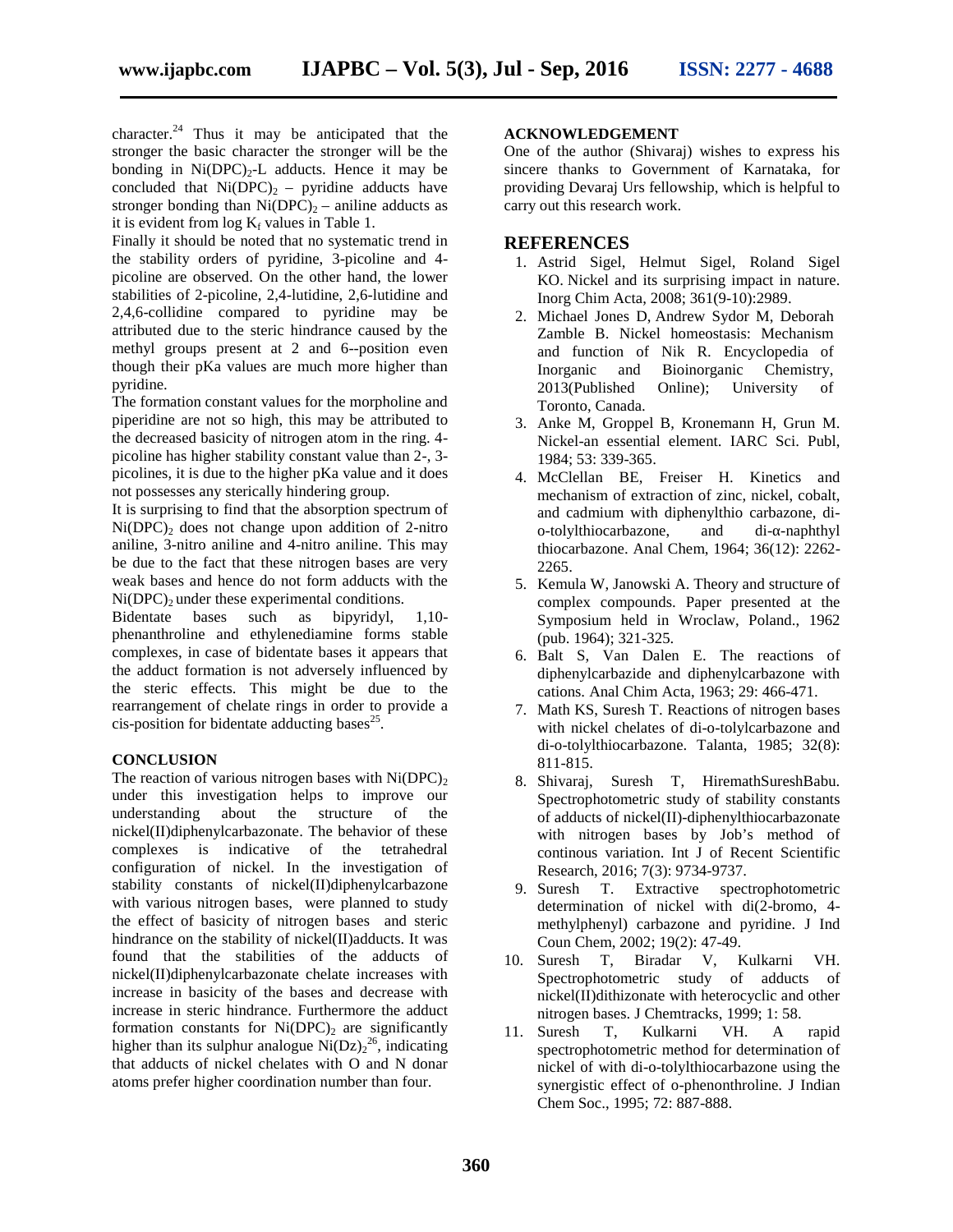character. $^{24}$  Thus it may be anticipated that the stronger the basic character the stronger will be the bonding in  $Ni(DPC)_{2}$ -L adducts. Hence it may be concluded that  $Ni(DPC)_2$  – pyridine adducts have stronger bonding than  $Ni(DPC)_2$  – aniline adducts as it is evident from  $log K_f$  values in Table 1.

Finally it should be noted that no systematic trend in the stability orders of pyridine, 3-picoline and 4 picoline are observed. On the other hand, the lower stabilities of 2-picoline, 2,4-lutidine, 2,6-lutidine and 2,4,6-collidine compared to pyridine may be attributed due to the steric hindrance caused by the methyl groups present at 2 and 6--position even though their pKa values are much more higher than pyridine.

The formation constant values for the morpholine and piperidine are not so high, this may be attributed to the decreased basicity of nitrogen atom in the ring. 4 picoline has higher stability constant value than 2-, 3 picolines, it is due to the higher pKa value and it does not possesses any sterically hindering group.

It is surprising to find that the absorption spectrum of  $Ni(DPC)<sub>2</sub>$  does not change upon addition of 2-nitro aniline, 3-nitro aniline and 4-nitro aniline. This may be due to the fact that these nitrogen bases are very weak bases and hence do not form adducts with the  $Ni(DPC)$ <sub>2</sub> under these experimental conditions.

Bidentate bases such as bipyridyl, 1,10 phenanthroline and ethylenediamine forms stable complexes, in case of bidentate bases it appears that the adduct formation is not adversely influenced by the steric effects. This might be due to the rearrangement of chelate rings in order to provide a cis-position for bidentate adducting bases<sup>25</sup>.

#### **CONCLUSION**

The reaction of various nitrogen bases with  $Ni(DPC)_2$ under this investigation helps to improve our understanding about the structure of the nickel(II)diphenylcarbazonate. The behavior of these complexes is indicative of the tetrahedral configuration of nickel. In the investigation of stability constants of nickel(II)diphenylcarbazone with various nitrogen bases, were planned to study the effect of basicity of nitrogen bases and steric hindrance on the stability of nickel(II)adducts. It was found that the stabilities of the adducts of nickel(II)diphenylcarbazonate chelate increases with increase in basicity of the bases and decrease with increase in steric hindrance. Furthermore the adduct formation constants for  $Ni(DPC)_2$  are significantly  $11$ . higher than its sulphur analogue  $\text{Ni}(\text{Dz})_2^{26}$ , indicating that adducts of nickel chelates with O and N donar atoms prefer higher coordination number than four.

#### **ACKNOWLEDGEMENT**

One of the author (Shivaraj) wishes to express his sincere thanks to Government of Karnataka, for providing Devaraj Urs fellowship, which is helpful to carry out this research work.

#### **REFERENCES**

- 1. Astrid Sigel, Helmut Sigel, Roland Sigel KO. Nickel and its surprising impact in nature. Inorg Chim Acta, 2008; 361(9-10):2989.
- 2. Michael Jones D, Andrew Sydor M, Deborah Zamble B. Nickel homeostasis: Mechanism and function of Nik R. Encyclopedia of Inorganic and Bioinorganic Chemistry, 2013(Published Online); University of Toronto, Canada.
- 3. Anke M, Groppel B, Kronemann H, Grun M. Nickel-an essential element. IARC Sci. Publ, 1984; 53: 339-365.
- 4. McClellan BE, Freiser H. Kinetics and mechanism of extraction of zinc, nickel, cobalt, and cadmium with diphenylthio carbazone, di o-tolylthiocarbazone, and thiocarbazone. Anal Chem, 1964; 36(12): 2262- 2265.
- 5. Kemula W, Janowski A. Theory and structure of complex compounds. Paper presented at the Symposium held in Wroclaw, Poland., 1962 (pub. 1964); 321-325.
- 6. Balt S, Van Dalen E. The reactions of diphenylcarbazide and diphenylcarbazone with cations. Anal Chim Acta, 1963; 29: 466-471.
- 7. Math KS, Suresh T. Reactions of nitrogen bases with nickel chelates of di-o-tolylcarbazone and di-o-tolylthiocarbazone. Talanta, 1985; 32(8): 811-815.
- 8. Shivaraj, Suresh T, HiremathSureshBabu. Spectrophotometric study of stability constants of adducts of nickel(II)-diphenylthiocarbazonate with nitrogen bases by Job's method of continous variation. Int J of Recent Scientific Research, 2016; 7(3): 9734-9737.
- 9. Suresh T. Extractive spectrophotometric determination of nickel with di(2-bromo, 4 methylphenyl) carbazone and pyridine. J Ind Coun Chem, 2002; 19(2): 47-49.
- 10. Suresh T, Biradar V, Kulkarni VH. Spectrophotometric study of adducts of nickel(II)dithizonate with heterocyclic and other nitrogen bases. J Chemtracks, 1999; 1: 58.
- Suresh T, Kulkarni VH. A rapid spectrophotometric method for determination of nickel of with di-o-tolylthiocarbazone using the synergistic effect of o-phenonthroline. J Indian Chem Soc., 1995; 72: 887-888.